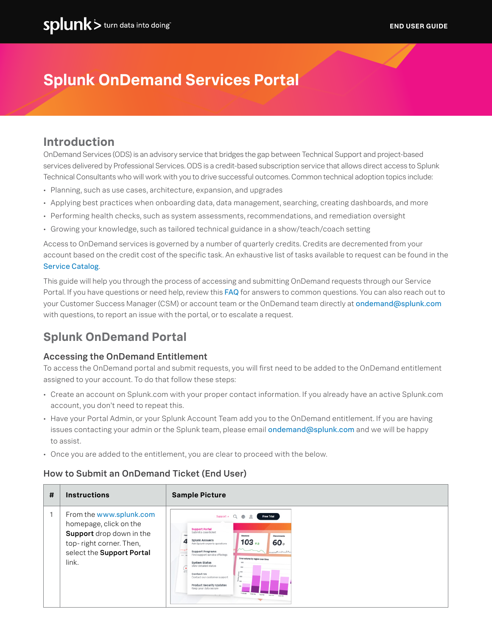# **Splunk OnDemand Services Portal**

## **Introduction**

OnDemand Services (ODS) is an advisory service that bridges the gap between Technical Support and project-based services delivered by Professional Services. ODS is a credit-based subscription service that allows direct access to Splunk Technical Consultants who will work with you to drive successful outcomes. Common technical adoption topics include:

- Planning, such as use cases, architecture, expansion, and upgrades
- Applying best practices when onboarding data, data management, searching, creating dashboards, and more
- Performing health checks, such as system assessments, recommendations, and remediation oversight
- Growing your knowledge, such as tailored technical guidance in a show/teach/coach setting

Access to OnDemand services is governed by a number of quarterly credits. Credits are decremented from your account based on the credit cost of the specific task. An exhaustive list of tasks available to request can be found in the [Service Catalog](https://www.splunk.com/pdfs/legal/splunk-on-demand-services-catalog.pdf).

This guide will help you through the process of accessing and submitting OnDemand requests through our Service Portal. If you have questions or need help, review this [FAQ](https://www.splunk.com/pdfs/professional-services/on-demand-services-faq.pdf) for answers to common questions. You can also reach out to your Customer Success Manager (CSM) or account team or the OnDemand team directly at [ondemand@splunk.com](mailto:ondemand%40splunk.com?subject=) with questions, to report an issue with the portal, or to escalate a request.

## **Splunk OnDemand Portal**

### Accessing the OnDemand Entitlement

To access the OnDemand portal and submit requests, you will first need to be added to the OnDemand entitlement assigned to your account. To do that follow these steps:

- Create an account on Splunk.com with your proper contact information. If you already have an active Splunk.com account, you don't need to repeat this.
- Have your Portal Admin, or your Splunk Account Team add you to the OnDemand entitlement. If you are having issues contacting your admin or the Splunk team, please email [ondemand@splunk.com](mailto:ondemand%40splunk.com?subject=) and we will be happy to assist.
- Once you are added to the entitlement, you are clear to proceed with the below.

### How to Submit an OnDemand Ticket (End User)

| # | <b>Instructions</b>                                                                                                                            | <b>Sample Picture</b>                                                                                                                                                                                                                                                                                                                                                                                                                                                                                                                  |
|---|------------------------------------------------------------------------------------------------------------------------------------------------|----------------------------------------------------------------------------------------------------------------------------------------------------------------------------------------------------------------------------------------------------------------------------------------------------------------------------------------------------------------------------------------------------------------------------------------------------------------------------------------------------------------------------------------|
|   | From the www.splunk.com<br>homepage, click on the<br>Support drop down in the<br>top-right corner. Then,<br>select the Support Portal<br>link. | <b>Free Trial</b><br>Support *<br>Q<br>⊕<br><b>Support Portal</b><br>Submit a case ticket<br>Sessions<br>Disconnects<br>Splunk Answers<br>$103 + 3$<br>60。<br>Ask Splunk experts questions<br><b>Support Programs</b><br>muntinental<br>Find support service offerings<br>man 1<br>Error volume by region over time<br>System Status<br>View detailed status<br>Contact Us<br>Contact our customer support<br><b>Product Security Updates</b><br>$\sim$<br>Keep your data secure<br>100 mm<br>thorny toping PODTAL<br><b>Britishna</b> |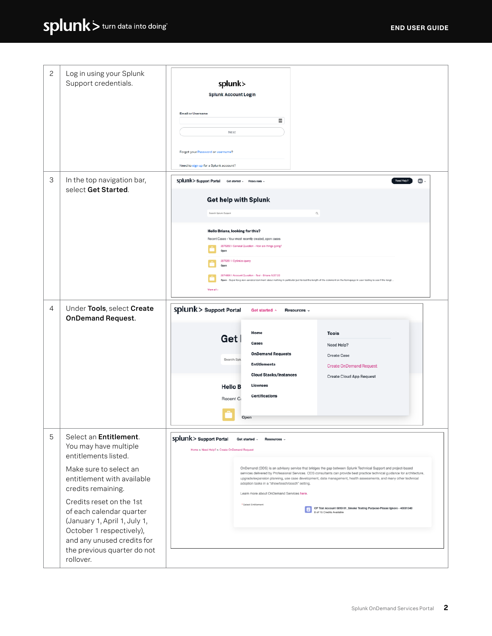| 2 | Log in using your Splunk<br>Support credentials.                                                                                                                                                                                                                                                                                                    | splunk><br><b>Splunk Account Login</b><br><b>Email or Username</b><br>$\equiv$<br>Next<br>Forgot your Password or username?<br>Need to sign up for a Splunk account?                                                                                                                                                                                                                                                                                                                                                                                                                                                                                                                                         |
|---|-----------------------------------------------------------------------------------------------------------------------------------------------------------------------------------------------------------------------------------------------------------------------------------------------------------------------------------------------------|--------------------------------------------------------------------------------------------------------------------------------------------------------------------------------------------------------------------------------------------------------------------------------------------------------------------------------------------------------------------------------------------------------------------------------------------------------------------------------------------------------------------------------------------------------------------------------------------------------------------------------------------------------------------------------------------------------------|
| 3 | In the top navigation bar,<br>select Get Started.                                                                                                                                                                                                                                                                                                   | Splunk> Support Portal<br>$\bullet$<br>Need Helpi<br>Get started v<br>Resources v<br>Get help with Splunk<br><b>Search Splunk Support</b><br>$\mathbb{Q}_i$<br>Hello Briana, looking for this?<br>Recent Cases - Your most recently created, open cases<br>2875252   General Question - How are things going?<br>Open<br>2875261   Optimize query<br>Open<br>2874893   Account Question - Test - Briana 5.27.22<br>Open - Super long non-sensical comment about nothing in particular just to test the length of the comment on the homepage in user testing to see if the lengt.<br>View all:                                                                                                               |
| 4 | Under Tools, select Create<br><b>OnDemand Request.</b>                                                                                                                                                                                                                                                                                              | Splunk> Support Portal<br>Get started ^<br>Resources v<br>Home<br><b>Tools</b><br>Get<br>Cases<br>Need Help?<br><b>OnDemand Requests</b><br><b>Create Case</b><br>Search Splu<br><b>Entitlements</b><br><b>Create OnDemand Request</b><br><b>Cloud Stacks/Instances</b><br><b>Create Cloud App Request</b><br><b>Licenses</b><br><b>Hello B</b><br><b>Certifications</b><br>Recent C<br>Open                                                                                                                                                                                                                                                                                                                 |
| 5 | Select an Entitlement.<br>You may have multiple<br>entitlements listed.<br>Make sure to select an<br>entitlement with available<br>credits remaining.<br>Credits reset on the 1st<br>of each calendar quarter<br>(January 1, April 1, July 1,<br>October 1 respectively),<br>and any unused credits for<br>the previous quarter do not<br>rollover. | Splunk > Support Portal<br>Get started $\sim$<br>Resources v<br>Home > Need Help? > Create OnDemand Request<br>OnDemand (ODS) is an advisory service that bridges the gap between Splunk Technical Support and project-based<br>services delivered by Professional Services. ODS consultants can provide best practice technical guidance for architecture,<br>upgrade/expansion planning, use case development, data management, health assessments, and many other technical<br>adoption tasks in a "show/teach/coach" setting.<br>Learn more about OnDemand Services here.<br>* Select Entitlement<br>CP Test Account 0810 01_Smoke Testing Purpose-Please Ignore - 40001340<br>8 of 15 Credits Available |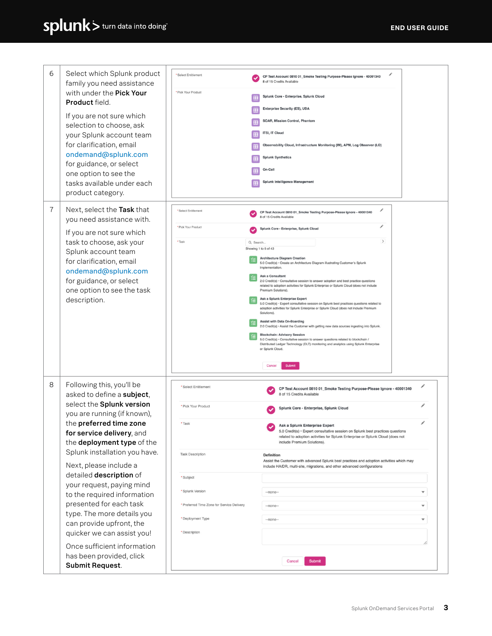| 6 | Select which Splunk product<br>family you need assistance<br>with under the Pick Your<br>Product field.                                                                                                                                    | * Select Entitlement                       | CP Test Account 0810 01_Smoke Testing Purpose-Please Ignore - 40001340<br>8 of 15 Credits Available                                                                                                                                    |
|---|--------------------------------------------------------------------------------------------------------------------------------------------------------------------------------------------------------------------------------------------|--------------------------------------------|----------------------------------------------------------------------------------------------------------------------------------------------------------------------------------------------------------------------------------------|
|   |                                                                                                                                                                                                                                            | * Pick Your Product                        | Splunk Core - Enterprise, Splunk Cloud                                                                                                                                                                                                 |
|   |                                                                                                                                                                                                                                            |                                            | Enterprise Security (ES), UBA                                                                                                                                                                                                          |
|   | If you are not sure which<br>selection to choose, ask<br>your Splunk account team                                                                                                                                                          |                                            | SOAR, Mission Control, Phantom                                                                                                                                                                                                         |
|   |                                                                                                                                                                                                                                            |                                            | ITSI, IT Cloud                                                                                                                                                                                                                         |
|   | for clarification, email                                                                                                                                                                                                                   |                                            | Observability Cloud, Infrastructure Monitoring (IM), APM, Log Observer (LO)                                                                                                                                                            |
|   | ondemand@splunk.com                                                                                                                                                                                                                        |                                            | <b>Splunk Synthetics</b>                                                                                                                                                                                                               |
|   | for guidance, or select<br>one option to see the                                                                                                                                                                                           |                                            | On-Call                                                                                                                                                                                                                                |
|   | tasks available under each                                                                                                                                                                                                                 |                                            | Splunk Intelligence Management                                                                                                                                                                                                         |
|   | product category.                                                                                                                                                                                                                          |                                            |                                                                                                                                                                                                                                        |
| 7 | Next, select the Task that                                                                                                                                                                                                                 | * Select Entitlement                       | v                                                                                                                                                                                                                                      |
|   | you need assistance with.                                                                                                                                                                                                                  |                                            | CP Test Account 0810 01_Smoke Testing Purpose-Please Ignore - 40001340<br>8 of 15 Credits Available                                                                                                                                    |
|   | If you are not sure which<br>task to choose, ask your<br>Splunk account team<br>for clarification, email                                                                                                                                   | * Pick Your Product                        | v<br>Splunk Core - Enterprise, Splunk Cloud                                                                                                                                                                                            |
|   |                                                                                                                                                                                                                                            | * Task<br>Q Search                         | $\,$                                                                                                                                                                                                                                   |
|   |                                                                                                                                                                                                                                            |                                            | Showing 1 to 5 of 43<br><b>Architecture Diagram Creation</b>                                                                                                                                                                           |
|   |                                                                                                                                                                                                                                            |                                            | 5.0 Credit(s) · Create an Architecture Diagram illustrating Customer's Splunk<br>implementation.                                                                                                                                       |
|   | ondemand@splunk.com<br>for guidance, or select                                                                                                                                                                                             |                                            | <b>Ask a Consultant</b><br>2.0 Credit(s) · Consultative session to answer adoption and best practice questions                                                                                                                         |
|   | one option to see the task                                                                                                                                                                                                                 |                                            | related to adoption activities for Splunk Enterprise or Splunk Cloud (does not include<br>Premium Solutions).                                                                                                                          |
|   | description.                                                                                                                                                                                                                               |                                            | Ask a Splunk Enterprise Expert<br>5.0 Credit(s) · Expert consultative session on Splunk best practices questions related to<br>adoption activities for Splunk Enterprise or Splunk Cloud (does not include Premium<br>Solutions)       |
|   |                                                                                                                                                                                                                                            |                                            | <b>Assist with Data On-Boarding</b><br>2.0 Credit(s) · Assist the Customer with getting new data sources ingesting into Splunk.                                                                                                        |
|   |                                                                                                                                                                                                                                            |                                            | <b>Blockchain: Advisory Session</b>                                                                                                                                                                                                    |
|   |                                                                                                                                                                                                                                            |                                            | 5.0 Credit(s) · Consultative session to answer questions related to blockchain /<br>Distributed Ledger Technology (DLT) monitoring and analytics using Splunk Enterprise<br>or Splunk Cloud.                                           |
|   |                                                                                                                                                                                                                                            |                                            |                                                                                                                                                                                                                                        |
|   |                                                                                                                                                                                                                                            |                                            | Cancel<br>Submit                                                                                                                                                                                                                       |
| 8 | Following this, you'll be<br>asked to define a subject,<br>select the Splunk version<br>you are running (if known),<br>the preferred time zone<br>for service delivery, and<br>the deployment type of the<br>Splunk installation you have. | * Select Entitlement                       | ℐ<br>CP Test Account 0810 01_Smoke Testing Purpose-Please Ignore - 40001340<br>8 of 15 Credits Available                                                                                                                               |
|   |                                                                                                                                                                                                                                            | * Pick Your Product                        | ℐ<br>Splunk Core - Enterprise, Splunk Cloud                                                                                                                                                                                            |
|   |                                                                                                                                                                                                                                            | * Task                                     | ℐ<br>Ask a Splunk Enterprise Expert<br>5.0 Credit(s) · Expert consultative session on Splunk best practices questions<br>related to adoption activities for Splunk Enterprise or Splunk Cloud (does not<br>include Premium Solutions). |
|   |                                                                                                                                                                                                                                            | <b>Task Description</b>                    | <b>Definition</b><br>Assist the Customer with advanced Splunk best practices and adoption activities which may                                                                                                                         |
|   | Next, please include a<br>detailed description of<br>your request, paying mind<br>to the required information<br>presented for each task<br>type. The more details you<br>can provide upfront, the<br>quicker we can assist you!           |                                            | include HA/DR, multi-site, migrations, and other advanced configurations                                                                                                                                                               |
|   |                                                                                                                                                                                                                                            | * Subject                                  |                                                                                                                                                                                                                                        |
|   |                                                                                                                                                                                                                                            | * Splunk Version                           | --none--<br>$\overline{\mathbf{v}}$                                                                                                                                                                                                    |
|   |                                                                                                                                                                                                                                            | * Preferred Time Zone for Service Delivery | $-$ none $-$<br>$\blacktriangledown$                                                                                                                                                                                                   |
|   |                                                                                                                                                                                                                                            | * Deployment Type                          | $\blacktriangledown$<br>$-$ none $-$                                                                                                                                                                                                   |
|   |                                                                                                                                                                                                                                            | * Description                              |                                                                                                                                                                                                                                        |
|   | Once sufficient information                                                                                                                                                                                                                |                                            |                                                                                                                                                                                                                                        |
|   | has been provided, click<br>Submit Request.                                                                                                                                                                                                |                                            | Submit<br>Cancel                                                                                                                                                                                                                       |
|   |                                                                                                                                                                                                                                            |                                            |                                                                                                                                                                                                                                        |